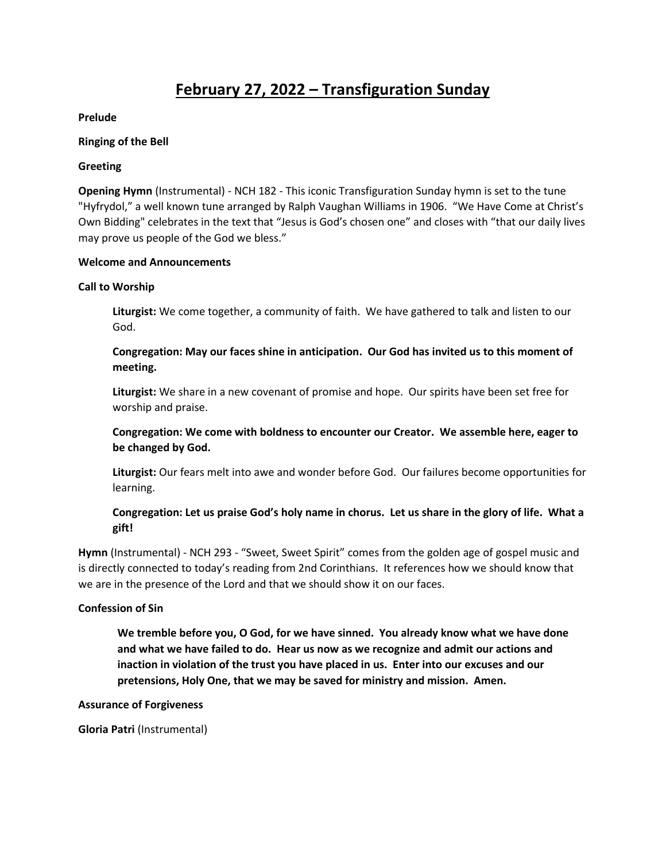# **February 27, 2022 – Transfiguration Sunday**

**Prelude**

### **Ringing of the Bell**

### **Greeting**

**Opening Hymn** (Instrumental) - NCH 182 - This iconic Transfiguration Sunday hymn is set to the tune "Hyfrydol," a well known tune arranged by Ralph Vaughan Williams in 1906. "We Have Come at Christ's Own Bidding" celebrates in the text that "Jesus is God's chosen one" and closes with "that our daily lives may prove us people of the God we bless."

### **Welcome and Announcements**

# **Call to Worship**

**Liturgist:** We come together, a community of faith. We have gathered to talk and listen to our God.

# **Congregation: May our faces shine in anticipation. Our God has invited us to this moment of meeting.**

**Liturgist:** We share in a new covenant of promise and hope. Our spirits have been set free for worship and praise.

**Congregation: We come with boldness to encounter our Creator. We assemble here, eager to be changed by God.**

**Liturgist:** Our fears melt into awe and wonder before God. Our failures become opportunities for learning.

# **Congregation: Let us praise God's holy name in chorus. Let us share in the glory of life. What a gift!**

**Hymn** (Instrumental) - NCH 293 - "Sweet, Sweet Spirit" comes from the golden age of gospel music and is directly connected to today's reading from 2nd Corinthians. It references how we should know that we are in the presence of the Lord and that we should show it on our faces.

#### **Confession of Sin**

**We tremble before you, O God, for we have sinned. You already know what we have done and what we have failed to do. Hear us now as we recognize and admit our actions and inaction in violation of the trust you have placed in us. Enter into our excuses and our pretensions, Holy One, that we may be saved for ministry and mission. Amen.** 

#### **Assurance of Forgiveness**

**Gloria Patri** (Instrumental)